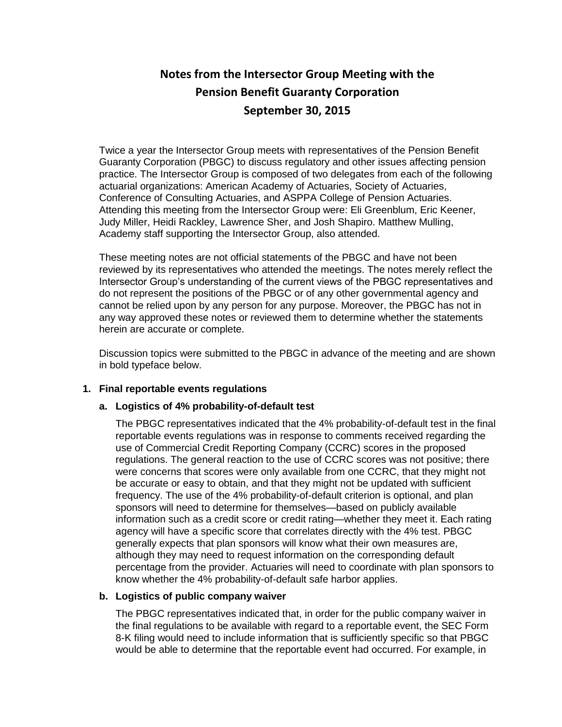# **Notes from the Intersector Group Meeting with the Pension Benefit Guaranty Corporation September 30, 2015**

Twice a year the Intersector Group meets with representatives of the Pension Benefit Guaranty Corporation (PBGC) to discuss regulatory and other issues affecting pension practice. The Intersector Group is composed of two delegates from each of the following actuarial organizations: American Academy of Actuaries, Society of Actuaries, Conference of Consulting Actuaries, and ASPPA College of Pension Actuaries. Attending this meeting from the Intersector Group were: Eli Greenblum, Eric Keener, Judy Miller, Heidi Rackley, Lawrence Sher, and Josh Shapiro. Matthew Mulling, Academy staff supporting the Intersector Group, also attended.

These meeting notes are not official statements of the PBGC and have not been reviewed by its representatives who attended the meetings. The notes merely reflect the Intersector Group's understanding of the current views of the PBGC representatives and do not represent the positions of the PBGC or of any other governmental agency and cannot be relied upon by any person for any purpose. Moreover, the PBGC has not in any way approved these notes or reviewed them to determine whether the statements herein are accurate or complete.

Discussion topics were submitted to the PBGC in advance of the meeting and are shown in bold typeface below.

# **1. Final reportable events regulations**

# **a. Logistics of 4% probability-of-default test**

The PBGC representatives indicated that the 4% probability-of-default test in the final reportable events regulations was in response to comments received regarding the use of Commercial Credit Reporting Company (CCRC) scores in the proposed regulations. The general reaction to the use of CCRC scores was not positive; there were concerns that scores were only available from one CCRC, that they might not be accurate or easy to obtain, and that they might not be updated with sufficient frequency. The use of the 4% probability-of-default criterion is optional, and plan sponsors will need to determine for themselves—based on publicly available information such as a credit score or credit rating—whether they meet it. Each rating agency will have a specific score that correlates directly with the 4% test. PBGC generally expects that plan sponsors will know what their own measures are, although they may need to request information on the corresponding default percentage from the provider. Actuaries will need to coordinate with plan sponsors to know whether the 4% probability-of-default safe harbor applies.

# **b. Logistics of public company waiver**

The PBGC representatives indicated that, in order for the public company waiver in the final regulations to be available with regard to a reportable event, the SEC Form 8-K filing would need to include information that is sufficiently specific so that PBGC would be able to determine that the reportable event had occurred. For example, in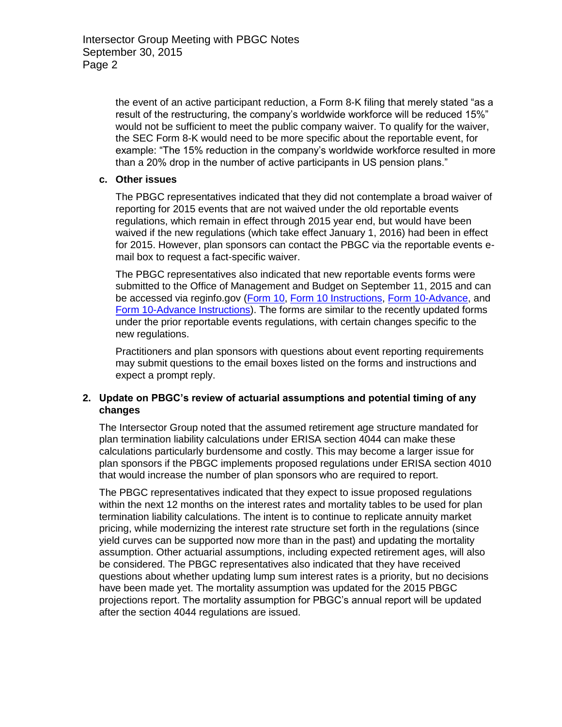the event of an active participant reduction, a Form 8-K filing that merely stated "as a result of the restructuring, the company's worldwide workforce will be reduced 15%" would not be sufficient to meet the public company waiver. To qualify for the waiver, the SEC Form 8-K would need to be more specific about the reportable event, for example: "The 15% reduction in the company's worldwide workforce resulted in more than a 20% drop in the number of active participants in US pension plans."

# **c. Other issues**

The PBGC representatives indicated that they did not contemplate a broad waiver of reporting for 2015 events that are not waived under the old reportable events regulations, which remain in effect through 2015 year end, but would have been waived if the new regulations (which take effect January 1, 2016) had been in effect for 2015. However, plan sponsors can contact the PBGC via the reportable events email box to request a fact-specific waiver.

The PBGC representatives also indicated that new reportable events forms were submitted to the Office of Management and Budget on September 11, 2015 and can be accessed via reginfo.gov [\(Form 10,](http://select.mercer.com/article/US20153166/) [Form 10 Instructions,](http://select.mercer.com/article/US20153169/) [Form 10-Advance,](http://select.mercer.com/article/US20153167/) and [Form 10-Advance Instructions\)](http://select.mercer.com/article/US20153168/). The forms are similar to the recently updated forms under the prior reportable events regulations, with certain changes specific to the new regulations.

Practitioners and plan sponsors with questions about event reporting requirements may submit questions to the email boxes listed on the forms and instructions and expect a prompt reply.

# **2. Update on PBGC's review of actuarial assumptions and potential timing of any changes**

The Intersector Group noted that the assumed retirement age structure mandated for plan termination liability calculations under ERISA section 4044 can make these calculations particularly burdensome and costly. This may become a larger issue for plan sponsors if the PBGC implements proposed regulations under ERISA section 4010 that would increase the number of plan sponsors who are required to report.

The PBGC representatives indicated that they expect to issue proposed regulations within the next 12 months on the interest rates and mortality tables to be used for plan termination liability calculations. The intent is to continue to replicate annuity market pricing, while modernizing the interest rate structure set forth in the regulations (since yield curves can be supported now more than in the past) and updating the mortality assumption. Other actuarial assumptions, including expected retirement ages, will also be considered. The PBGC representatives also indicated that they have received questions about whether updating lump sum interest rates is a priority, but no decisions have been made yet. The mortality assumption was updated for the 2015 PBGC projections report. The mortality assumption for PBGC's annual report will be updated after the section 4044 regulations are issued.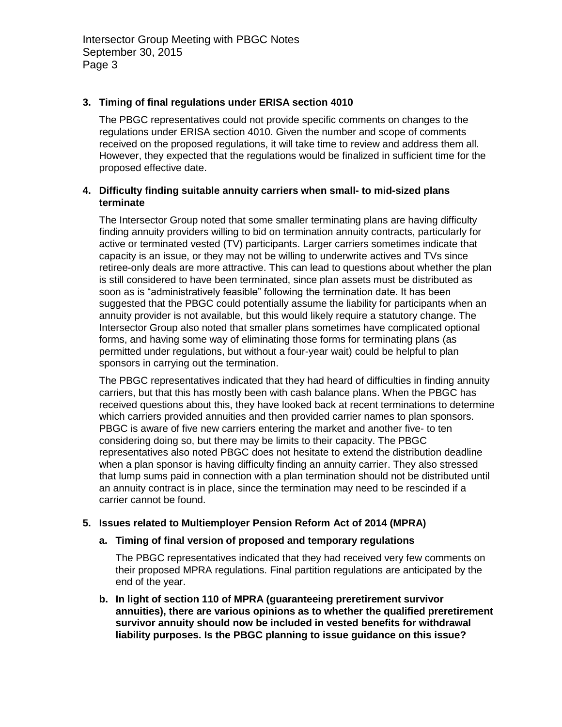Intersector Group Meeting with PBGC Notes September 30, 2015 Page 3

#### **3. Timing of final regulations under ERISA section 4010**

The PBGC representatives could not provide specific comments on changes to the regulations under ERISA section 4010. Given the number and scope of comments received on the proposed regulations, it will take time to review and address them all. However, they expected that the regulations would be finalized in sufficient time for the proposed effective date.

#### **4. Difficulty finding suitable annuity carriers when small- to mid-sized plans terminate**

The Intersector Group noted that some smaller terminating plans are having difficulty finding annuity providers willing to bid on termination annuity contracts, particularly for active or terminated vested (TV) participants. Larger carriers sometimes indicate that capacity is an issue, or they may not be willing to underwrite actives and TVs since retiree-only deals are more attractive. This can lead to questions about whether the plan is still considered to have been terminated, since plan assets must be distributed as soon as is "administratively feasible" following the termination date. It has been suggested that the PBGC could potentially assume the liability for participants when an annuity provider is not available, but this would likely require a statutory change. The Intersector Group also noted that smaller plans sometimes have complicated optional forms, and having some way of eliminating those forms for terminating plans (as permitted under regulations, but without a four-year wait) could be helpful to plan sponsors in carrying out the termination.

The PBGC representatives indicated that they had heard of difficulties in finding annuity carriers, but that this has mostly been with cash balance plans. When the PBGC has received questions about this, they have looked back at recent terminations to determine which carriers provided annuities and then provided carrier names to plan sponsors. PBGC is aware of five new carriers entering the market and another five- to ten considering doing so, but there may be limits to their capacity. The PBGC representatives also noted PBGC does not hesitate to extend the distribution deadline when a plan sponsor is having difficulty finding an annuity carrier. They also stressed that lump sums paid in connection with a plan termination should not be distributed until an annuity contract is in place, since the termination may need to be rescinded if a carrier cannot be found.

#### **5. Issues related to Multiemployer Pension Reform Act of 2014 (MPRA)**

#### **a. Timing of final version of proposed and temporary regulations**

The PBGC representatives indicated that they had received very few comments on their proposed MPRA regulations. Final partition regulations are anticipated by the end of the year.

**b. In light of section 110 of MPRA (guaranteeing preretirement survivor annuities), there are various opinions as to whether the qualified preretirement survivor annuity should now be included in vested benefits for withdrawal liability purposes. Is the PBGC planning to issue guidance on this issue?**